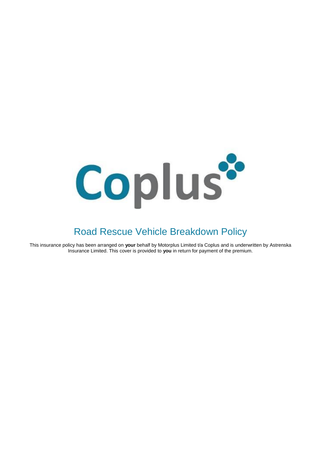

# Road Rescue Vehicle Breakdown Policy

This insurance policy has been arranged on **your** behalf by Motorplus Limited t/a Coplus and is underwritten by Astrenska Insurance Limited. This cover is provided to **you** in return for payment of the premium.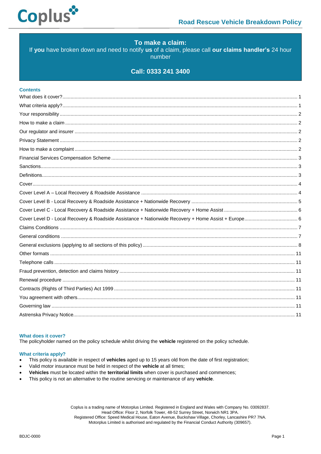

## To make a claim:

If you have broken down and need to notify us of a claim, please call our claims handler's 24 hour number

# Call: 0333 241 3400

### **Contents**

#### <span id="page-1-0"></span>**What does it cover?**

The policyholder named on the policy schedule whilst driving the vehicle registered on the policy schedule.

## <span id="page-1-1"></span>**What criteria apply?**

- This policy is available in respect of vehicles aged up to 15 years old from the date of first registration;
- Valid motor insurance must be held in respect of the vehicle at all times;
- Vehicles must be located within the territorial limits when cover is purchased and commences;
- This policy is not an alternative to the routine servicing or maintenance of any vehicle.  $\bullet$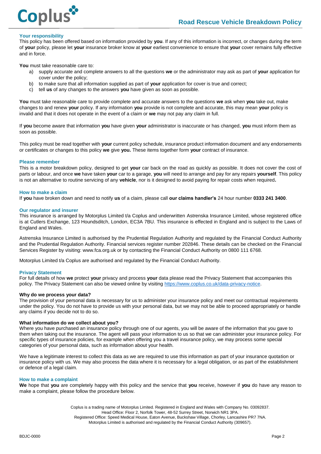

## <span id="page-2-0"></span>**Your responsibility**

This policy has been offered based on information provided by **you**. If any of this information is incorrect, or changes during the term of **your** policy, please let **your** insurance broker know at **your** earliest convenience to ensure that **your** cover remains fully effective and in force.

**You** must take reasonable care to:

- a) supply accurate and complete answers to all the questions **we** or the administrator may ask as part of **your** application for cover under the policy;
- b) to make sure that all information supplied as part of **your** application for cover is true and correct;
- c) tell **us** of any changes to the answers **you** have given as soon as possible.

**You** must take reasonable care to provide complete and accurate answers to the questions **we** ask when **you** take out, make changes to and renew **your** policy. If any information **you** provide is not complete and accurate, this may mean **your** policy is invalid and that it does not operate in the event of a claim or **we** may not pay any claim in full.

If **you** become aware that information **you** have given **your** administrator is inaccurate or has changed, **you** must inform them as soon as possible.

This policy must be read together with **your** current policy schedule, insurance product information document and any endorsements or certificates or changes to this policy **we** give **you.** These items together form **your** contract of insurance.

#### **Please remember**

This is a motor breakdown policy, designed to get **your** car back on the road as quickly as possible. It does not cover the cost of parts or labour, and once **we** have taken **your** car to a garage, **you** will need to arrange and pay for any repairs **yourself**. This policy is not an alternative to routine servicing of any **vehicle**, nor is it designed to avoid paying for repair costs when required**.**

#### <span id="page-2-1"></span>**How to make a claim**

<span id="page-2-2"></span>If **you** have broken down and need to notify **us** of a claim, please call **our claims handler's** 24 hour number **0333 241 3400**.

#### **Our regulator and insurer**

This insurance is arranged by Motorplus Limited t/a Coplus and underwritten Astrenska Insurance Limited, whose registered office is at Cutlers Exchange, 123 Houndsditch, London, EC3A 7BU. This insurance is effected in England and is subject to the Laws of England and Wales.

Astrenska Insurance Limited is authorised by the Prudential Regulation Authority and regulated by the Financial Conduct Authority and the Prudential Regulation Authority. Financial services register number 202846. These details can be checked on the Financial Services Register by visiting: www.fca.org.uk or by contacting the Financial Conduct Authority on 0800 111 6768.

<span id="page-2-3"></span>Motorplus Limited t/a Coplus are authorised and regulated by the Financial Conduct Authority.

#### **Privacy Statement**

For full details of how **we** protect **your** privacy and process **your** data please read the Privacy Statement that accompanies this policy. The Privacy Statement can also be viewed online by visiting [https://www.coplus.co.uk/data-privacy-notice.](https://www.coplus.co.uk/data-privacy-notice)

#### **Why do we process your data?**

The provision of your personal data is necessary for us to administer your insurance policy and meet our contractual requirements under the policy. You do not have to provide us with your personal data, but we may not be able to proceed appropriately or handle any claims if you decide not to do so.

#### **What information do we collect about you?**

Where you have purchased an insurance policy through one of our agents, you will be aware of the information that you gave to them when taking out the insurance. The agent will pass your information to us so that we can administer your insurance policy. For specific types of insurance policies, for example when offering you a travel insurance policy, we may process some special categories of your personal data, such as information about your health.

We have a legitimate interest to collect this data as we are required to use this information as part of your insurance quotation or insurance policy with us. We may also process the data where it is necessary for a legal obligation, or as part of the establishment or defence of a legal claim.

#### <span id="page-2-4"></span>**How to make a complaint**

**We** hope that **you** are completely happy with this policy and the service that **you** receive, however if **you** do have any reason to make a complaint, please follow the procedure below.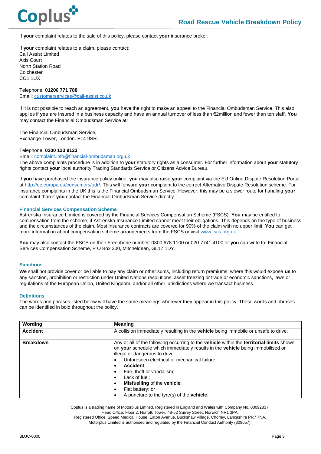

If **your** complaint relates to the sale of this policy, please contact **your** insurance broker.

If **your** complaint relates to a claim, please contact: Call Assist Limited Axis Court North Station Road **Colchester** CO1 1UX

### Telephone: **01206 771 788**

Email[: customerservices@call-assist.co.uk](mailto:customerservices@call-assist.co.uk)

If it is not possible to reach an agreement, **you** have the right to make an appeal to the Financial Ombudsman Service. This also applies if **you** are insured in a business capacity and have an annual turnover of less than €2million and fewer than ten staff. **You** may contact the Financial Ombudsman Service at:

The Financial Ombudsman Service, Exchange Tower, London. E14 9SR.

#### Telephone: **0300 123 9123**

#### Email[: complaint.info@financial-ombudsman.org.uk](mailto:complaint.info@financial-ombudsman.org.uk)

The above complaints procedure is in addition to **your** statutory rights as a consumer. For further information about **your** statutory rights contact **your** local authority Trading Standards Service or Citizens Advice Bureau.

If **you** have purchased the insurance policy online, **you** may also raise **your** complaint via the EU Online Dispute Resolution Portal at [http://ec.europa.eu/consumers/odr/.](http://ec.europa.eu/consumers/odr/) This will forward **your** complaint to the correct Alternative Dispute Resolution scheme. For insurance complaints in the UK this is the Financial Ombudsman Service. However, this may be a slower route for handling **your** complaint than if **you** contact the Financial Ombudsman Service directly.

## <span id="page-3-0"></span>**Financial Services Compensation Scheme**

Astrenska Insurance Limited is covered by the Financial Services Compensation Scheme (FSCS). **You** may be entitled to compensation from the scheme, if Astrenska Insurance Limited cannot meet their obligations. This depends on the type of business and the circumstances of the claim. Most insurance contracts are covered for 90% of the claim with no upper limit. **You** can get more information about compensation scheme arrangements from the FSCS or visit [www.fscs.org.uk.](http://www.fscs.org.uk/)

**You** may also contact the FSCS on their Freephone number: 0800 678 1100 or 020 7741 4100 or **you** can write to: Financial Services Compensation Scheme, P O Box 300, Mitcheldean, GL17 1DY.

#### <span id="page-3-1"></span>**Sanctions**

**We** shall not provide cover or be liable to pay any claim or other sums, including return premiums, where this would expose **us** to any sanction, prohibition or restriction under United Nations resolutions, asset freezing or trade or economic sanctions, laws or regulations of the European Union, United Kingdom, and/or all other jurisdictions where we transact business.

#### <span id="page-3-2"></span>**Definitions**

The words and phrases listed below will have the same meanings wherever they appear in this policy. These words and phrases can be identified in bold throughout the policy.

| Wording          | <b>Meaning</b>                                                                                                                                                                                                                                                                                                                                                                                                                                                                          |
|------------------|-----------------------------------------------------------------------------------------------------------------------------------------------------------------------------------------------------------------------------------------------------------------------------------------------------------------------------------------------------------------------------------------------------------------------------------------------------------------------------------------|
| <b>Accident</b>  | A collision immediately resulting in the vehicle being immobile or unsafe to drive.                                                                                                                                                                                                                                                                                                                                                                                                     |
| <b>Breakdown</b> | Any or all of the following occurring to the vehicle within the territorial limits shown<br>on your schedule which immediately results in the vehicle being immobilised or<br>illegal or dangerous to drive:<br>Unforeseen electrical or mechanical failure;<br>$\bullet$<br>Accident:<br>$\bullet$<br>Fire, theft or vandalism;<br>Lack of fuel:<br>٠<br><b>Misfuelling of the vehicle;</b><br>$\bullet$<br>Flat battery; or<br>٠<br>A puncture to the tyre(s) of the <b>vehicle</b> . |

Coplus is a trading name of Motorplus Limited. Registered in England and Wales with Company No. 03092837.

Head Office: Floor 2, Norfolk Tower, 48-52 Surrey Street, Norwich NR1 3PA. Registered Office: Speed Medical House, Eaton Avenue, Buckshaw Village, Chorley, Lancashire PR7 7NA. Motorplus Limited is authorised and regulated by the Financial Conduct Authority (309657).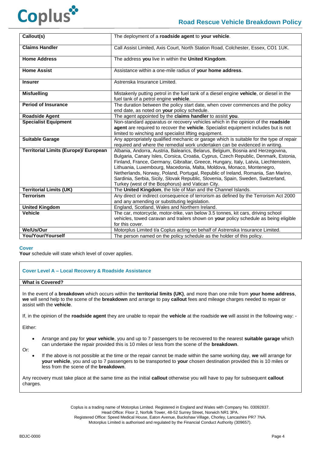

| Callout(s)                                   | The deployment of a roadside agent to your vehicle.                                                                                                                      |
|----------------------------------------------|--------------------------------------------------------------------------------------------------------------------------------------------------------------------------|
| <b>Claims Handler</b>                        | Call Assist Limited, Axis Court, North Station Road, Colchester, Essex, CO1 1UK.                                                                                         |
| <b>Home Address</b>                          | The address you live in within the United Kingdom.                                                                                                                       |
| <b>Home Assist</b>                           | Assistance within a one-mile radius of your home address.                                                                                                                |
| <b>Insurer</b>                               | Astrenska Insurance Limited.                                                                                                                                             |
| <b>Misfuelling</b>                           | Mistakenly putting petrol in the fuel tank of a diesel engine vehicle, or diesel in the<br>fuel tank of a petrol engine vehicle.                                         |
| <b>Period of Insurance</b>                   | The duration between the policy start date, when cover commences and the policy<br>end date, as noted on your policy schedule.                                           |
| <b>Roadside Agent</b>                        | The agent appointed by the claims handler to assist you.                                                                                                                 |
| <b>Specialist Equipment</b>                  | Non-standard apparatus or recovery vehicles which in the opinion of the roadside                                                                                         |
|                                              | agent are required to recover the vehicle. Specialist equipment includes but is not                                                                                      |
|                                              | limited to winching and specialist lifting equipment.                                                                                                                    |
| <b>Suitable Garage</b>                       | Any appropriately qualified mechanic or garage which is suitable for the type of repair                                                                                  |
|                                              | required and where the remedial work undertaken can be evidenced in writing.                                                                                             |
| <b>Territorial Limits (Europe)/ European</b> | Albania, Andorra, Austria, Balearics, Belarus, Belgium, Bosnia and Herzegovina,                                                                                          |
|                                              | Bulgaria, Canary Isles, Corsica, Croatia, Cyprus, Czech Republic, Denmark, Estonia,                                                                                      |
|                                              | Finland, France, Germany, Gibraltar, Greece, Hungary, Italy, Latvia, Liechtenstein,                                                                                      |
|                                              | Lithuania, Luxembourg, Macedonia, Malta, Moldova, Monaco, Montenegro,                                                                                                    |
|                                              | Netherlands, Norway, Poland, Portugal, Republic of Ireland, Romania, San Marino,                                                                                         |
|                                              | Sardinia, Serbia, Sicily, Slovak Republic, Slovenia, Spain, Sweden, Switzerland,                                                                                         |
|                                              | Turkey (west of the Bosphorus) and Vatican City.                                                                                                                         |
| <b>Territorial Limits (UK)</b>               | The United Kingdom, the Isle of Man and the Channel Islands.                                                                                                             |
| <b>Terrorism</b>                             | Any direct or indirect consequence of terrorism as defined by the Terrorism Act 2000<br>and any amending or substituting legislation.                                    |
| <b>United Kingdom</b>                        | England, Scotland, Wales and Northern Ireland.                                                                                                                           |
| <b>Vehicle</b>                               |                                                                                                                                                                          |
|                                              | The car, motorcycle, motor-trike, van below 3.5 tonnes, kit cars, driving school<br>vehicles, towed caravan and trailers shown on your policy schedule as being eligible |
|                                              | for this cover.                                                                                                                                                          |
| We/Us/Our                                    | Motorplus Limited t/a Coplus acting on behalf of Astrenska Insurance Limited.                                                                                            |
| You/Your/Yourself                            |                                                                                                                                                                          |
|                                              | The person named on the policy schedule as the holder of this policy.                                                                                                    |

## <span id="page-4-0"></span>**Cover**

Your schedule will state which level of cover applies.

## <span id="page-4-1"></span>**Cover Level A – Local Recovery & Roadside Assistance**

### **What is Covered?**

In the event of a **breakdown** which occurs within the **territorial limits (UK)**, and more than one mile from **your home address**, **we** will send help to the scene of the **breakdown** and arrange to pay **callout** fees and mileage charges needed to repair or assist with the **vehicle**.

If, in the opinion of the **roadside agent** they are unable to repair the **vehicle** at the roadside **we** will assist in the following way: -

Either:

- Arrange and pay for **your vehicle**, you and up to 7 passengers to be recovered to the nearest **suitable garage** which can undertake the repair provided this is 10 miles or less from the scene of the **breakdown**.
- Or:
- If the above is not possible at the time or the repair cannot be made within the same working day, **we** will arrange for **your vehicle**, you and up to 7 passengers to be transported to **your** chosen destination provided this is 10 miles or less from the scene of the **breakdown**.

Any recovery must take place at the same time as the initial **callout** otherwise you will have to pay for subsequent **callout** charges.

Coplus is a trading name of Motorplus Limited. Registered in England and Wales with Company No. 03092837.

Head Office: Floor 2, Norfolk Tower, 48-52 Surrey Street, Norwich NR1 3PA.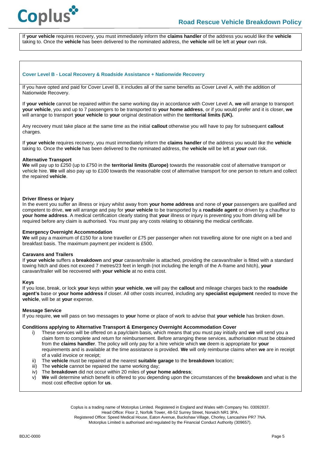

If **your vehicle** requires recovery, you must immediately inform the **claims handler** of the address you would like the **vehicle** taking to. Once the **vehicle** has been delivered to the nominated address, the **vehicle** will be left at **your** own risk.

## <span id="page-5-0"></span>**Cover Level B - Local Recovery & Roadside Assistance + Nationwide Recovery**

If you have opted and paid for Cover Level B, it includes all of the same benefits as Cover Level A, with the addition of Nationwide Recovery.

If **your vehicle** cannot be repaired within the same working day in accordance with Cover Level A, **we** will arrange to transport **your vehicle**, you and up to 7 passengers to be transported to **your home address**, or if you would prefer and it is closer, **we** will arrange to transport **your vehicle** to **your** original destination within the **territorial limits (UK).**

Any recovery must take place at the same time as the initial **callout** otherwise you will have to pay for subsequent **callout** charges.

If **your vehicle** requires recovery, you must immediately inform the **claims handler** of the address you would like the **vehicle** taking to. Once the **vehicle** has been delivered to the nominated address, the **vehicle** will be left at **your** own risk.

#### **Alternative Transport**

**We** will pay up to £250 (up to £750 in the **territorial limits (Europe)** towards the reasonable cost of alternative transport or vehicle hire. **We** will also pay up to £100 towards the reasonable cost of alternative transport for one person to return and collect the repaired **vehicle**.

#### **Driver Illness or Injury**

In the event you suffer an illness or injury whilst away from **your home address** and none of **your** passengers are qualified and competent to drive, **we** will arrange and pay for **your vehicle** to be transported by a **roadside agent** or driven by a chauffeur to **your home address**. A medical certification clearly stating that **your** illness or injury is preventing you from driving will be required before any claim is authorised. You must pay any costs relating to obtaining the medical certificate.

## **Emergency Overnight Accommodation**

**We** will pay a maximum of £150 for a lone traveller or £75 per passenger when not travelling alone for one night on a bed and breakfast basis. The maximum payment per incident is £500.

## **Caravans and Trailers**

If **your vehicle** suffers a **breakdown** and **your** caravan/trailer is attached, providing the caravan/trailer is fitted with a standard towing hitch and does not exceed 7 metres/23 feet in length (not including the length of the A-frame and hitch), **your** caravan/trailer will be recovered with **your vehicle** at no extra cost.

#### **Keys**

If you lose, break, or lock **your** keys within **your vehicle**, **we** will pay the **callout** and mileage charges back to the **roadside agent's** base or **your home address** if closer. All other costs incurred, including any **specialist equipment** needed to move the **vehicle**, will be at **your** expense.

#### **Message Service**

If you require, **we** will pass on two messages to **your** home or place of work to advise that **your vehicle** has broken down.

#### **Conditions applying to Alternative Transport & Emergency Overnight Accommodation Cover**

- i) These services will be offered on a pay/claim basis, which means that you must pay initially and **we** will send you a claim form to complete and return for reimbursement. Before arranging these services, authorisation must be obtained from the **claims handler**. The policy will only pay for a hire vehicle which **we** deem is appropriate for **your** requirements and is available at the time assistance is provided. **We** will only reimburse claims when **we** are in receipt of a valid invoice or receipt;
- ii) The **vehicle** must be repaired at the nearest **suitable garage** to the **breakdown** location;
- iii) The **vehicle** cannot be repaired the same working day;
- iv) The **breakdown** did not occur within 20 miles of **your home address**;
- v) **We** will determine which benefit is offered to you depending upon the circumstances of the **breakdown** and what is the most cost effective option for **us**.

Coplus is a trading name of Motorplus Limited. Registered in England and Wales with Company No. 03092837.

Head Office: Floor 2, Norfolk Tower, 48-52 Surrey Street, Norwich NR1 3PA.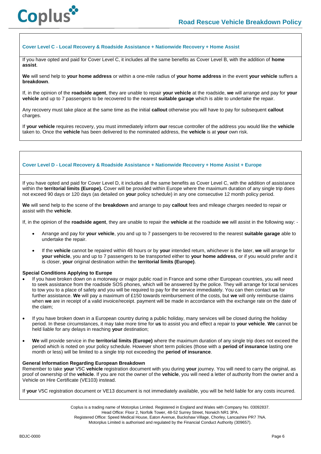

## <span id="page-6-0"></span>**Cover Level C - Local Recovery & Roadside Assistance + Nationwide Recovery + Home Assist**

If you have opted and paid for Cover Level C, it includes all the same benefits as Cover Level B, with the addition of **home assist**.

**We** will send help to **your home address** or within a one-mile radius of **your home address** in the event **your vehicle** suffers a **breakdown**.

If, in the opinion of the **roadside agent**, they are unable to repair **your vehicle** at the roadside, **we** will arrange and pay for **your vehicle** and up to 7 passengers to be recovered to the nearest **suitable garage** which is able to undertake the repair.

Any recovery must take place at the same time as the initial **callout** otherwise you will have to pay for subsequent **callout** charges.

If **your vehicle** requires recovery, you must immediately inform **our** rescue controller of the address you would like the **vehicle** taken to. Once the **vehicle** has been delivered to the nominated address, the **vehicle** is at **your** own risk.

## <span id="page-6-1"></span>**Cover Level D - Local Recovery & Roadside Assistance + Nationwide Recovery + Home Assist + Europe**

If you have opted and paid for Cover Level D, it includes all the same benefits as Cover Level C, with the addition of assistance within the **territorial limits (Europe).** Cover will be provided within Europe where the maximum duration of any single trip does not exceed 90 days or 120 days (as detailed on **your** policy schedule) in any one consecutive 12 month policy period.

**We** will send help to the scene of the **breakdown** and arrange to pay **callout** fees and mileage charges needed to repair or assist with the **vehicle**.

If, in the opinion of the **roadside agent**, they are unable to repair the **vehicle** at the roadside **we** will assist in the following way: -

- Arrange and pay for **your vehicle**, you and up to 7 passengers to be recovered to the nearest **suitable garage** able to undertake the repair.
- If the **vehicle** cannot be repaired within 48 hours or by **your** intended return, whichever is the later, **we** will arrange for **your vehicle**, you and up to 7 passengers to be transported either to **your home address**, or if you would prefer and it is closer, **your** original destination within the **territorial limits (Europe)**.

#### **Special Conditions Applying to Europe**

- If you have broken down on a motorway or major public road in France and some other European countries, you will need to seek assistance from the roadside SOS phones, which will be answered by the police. They will arrange for local services to tow you to a place of safety and you will be required to pay for the service immediately. You can then contact **us** for further assistance. **We** will pay a maximum of £150 towards reimbursement of the costs, but **we** will only reimburse claims when **we** are in receipt of a valid invoice/receipt. payment will be made in accordance with the exchange rate on the date of the claim;
- If you have broken down in a European country during a public holiday, many services will be closed during the holiday period. In these circumstances, it may take more time for **us** to assist you and effect a repair to **your vehicle**. **We** cannot be held liable for any delays in reaching **your** destination;
- **We** will provide service in the **territorial limits (Europe)** where the maximum duration of any single trip does not exceed the period which is noted on your policy schedule. However short term policies (those with a **period of insurance** lasting one month or less) will be limited to a single trip not exceeding the **period of insurance**.

## **General Information Regarding European Breakdown**

Remember to take **your** V5C **vehicle** registration document with you during **your** journey. You will need to carry the original, as proof of ownership of the **vehicle**. If you are not the owner of the **vehicle**, you will need a letter of authority from the owner and a Vehicle on Hire Certificate (VE103) instead.

If **your** V5C registration document or VE13 document is not immediately available, you will be held liable for any costs incurred.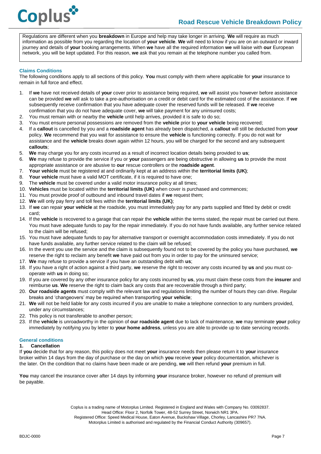

Regulations are different when you **breakdown** in Europe and help may take longer in arriving. **We** will require as much information as possible from you regarding the location of **your vehicle**. **We** will need to know if you are on an outward or inward journey and details of **your** booking arrangements. When **we** have all the required information **we** will liaise with **our** European network, you will be kept updated. For this reason, **we** ask that you remain at the telephone number you called from.

## <span id="page-7-0"></span>**Claims Conditions**

The following conditions apply to all sections of this policy. **You** must comply with them where applicable for **your** insurance to remain in full force and effect.

- 1. If **we** have not received details of **your** cover prior to assistance being required, **we** will assist you however before assistance can be provided **we** will ask to take a pre-authorisation on a credit or debit card for the estimated cost of the assistance. If **we** subsequently receive confirmation that you have adequate cover the reserved funds will be released. If **we** receive confirmation that you do not have adequate cover, **we** will take payment for any uninsured costs;
- 2. You must remain with or nearby the **vehicle** until help arrives, provided it is safe to do so;
- 3. You must ensure personal possessions are removed from the **vehicle** prior to **your vehicle** being recovered;
- 4. If a **callout** is cancelled by you and a **roadside agent** has already been dispatched, a **callout** will still be deducted from **your** policy. **We** recommend that you wait for assistance to ensure the **vehicle** is functioning correctly. If you do not wait for assistance and the **vehicle** breaks down again within 12 hours, you will be charged for the second and any subsequent **callouts**;
- 5. **We** may charge you for any costs incurred as a result of incorrect location details being provided to **us**;
- 6. **We** may refuse to provide the service if you or **your** passengers are being obstructive in allowing **us** to provide the most appropriate assistance or are abusive to **our** rescue controllers or the **roadside agent**.
- 7. **Your vehicle** must be registered at and ordinarily kept at an address within the **territorial limits (UK)**;
- 8. **Your vehicle** must have a valid MOT certificate, if it is required to have one;
- 9. The **vehicle** must be covered under a valid motor insurance policy at all times;
- 10. **Vehicles** must be located within the **territorial limits (UK)** when cover is purchased and commences;
- 11. You must provide proof of outbound and inbound travel dates if **we** request them;
- 12. **We** will only pay ferry and toll fees within the **territorial limits (UK)**;
- 13. If **we** can repair **your vehicle** at the roadside, you must immediately pay for any parts supplied and fitted by debit or credit card;
- 14. If the **vehicle** is recovered to a garage that can repair the **vehicle** within the terms stated, the repair must be carried out there. You must have adequate funds to pay for the repair immediately. If you do not have funds available, any further service related to the claim will be refused;
- 15. You must have adequate funds to pay for alternative transport or overnight accommodation costs immediately. If you do not have funds available, any further service related to the claim will be refused;
- 16. In the event you use the service and the claim is subsequently found not to be covered by the policy you have purchased, **we** reserve the right to reclaim any benefit **we** have paid out from you in order to pay for the uninsured service;
- 17. **We** may refuse to provide a service if you have an outstanding debt with **us**;
- 18. If you have a right of action against a third party, **we** reserve the right to recover any costs incurred by **us** and you must cooperate with **us** in doing so;
- 19. If you are covered by any other insurance policy for any costs incurred by **us**, you must claim these costs from the **insurer** and reimburse **us**. **We** reserve the right to claim back any costs that are recoverable through a third party;
- 20. **Our roadside agents** must comply with the relevant law and regulations limiting the number of hours they can drive. Regular breaks and 'changeovers' may be required when transporting **your vehicle**;
- 21. **We** will not be held liable for any costs incurred if you are unable to make a telephone connection to any numbers provided, under any circumstances;
- 22. This policy is not transferable to another person;
- 23. If the **vehicle** is unroadworthy in the opinion of **our roadside agent** due to lack of maintenance, **we** may terminate **your** policy immediately by notifying you by letter to **your home address**, unless you are able to provide up to date servicing records.

## <span id="page-7-1"></span>**General conditions**

## **1. Cancellation**

If **you** decide that for any reason, this policy does not meet **your** insurance needs then please return it to **your** insurance broker within 14 days from the day of purchase or the day on which **you** receive **your** policy documentation, whichever is the later. On the condition that no claims have been made or are pending, **we** will then refund **your** premium in full.

**You** may cancel the insurance cover after 14 days by informing **your** insurance broker, however no refund of premium will be payable.

Coplus is a trading name of Motorplus Limited. Registered in England and Wales with Company No. 03092837.

Head Office: Floor 2, Norfolk Tower, 48-52 Surrey Street, Norwich NR1 3PA.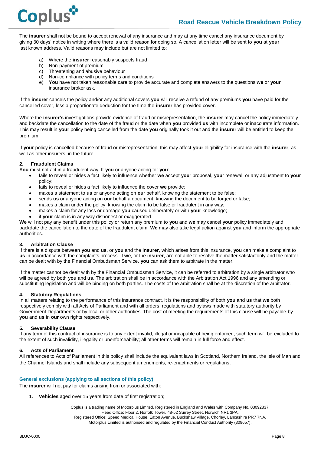

The **insurer** shall not be bound to accept renewal of any insurance and may at any time cancel any insurance document by giving 30 days' notice in writing where there is a valid reason for doing so. A cancellation letter will be sent to **you** at **your** last known address. Valid reasons may include but are not limited to:

- a) Where the **insurer** reasonably suspects fraud
- b) Non-payment of premium
- c) Threatening and abusive behaviour
- d) Non-compliance with policy terms and conditions
- e) **You** have not taken reasonable care to provide accurate and complete answers to the questions **we** or **your**  insurance broker ask.

If the **insurer** cancels the policy and/or any additional covers **you** will receive a refund of any premiums **you** have paid for the cancelled cover, less a proportionate deduction for the time the **insurer** has provided cover.

Where the **insurer's** investigations provide evidence of fraud or misrepresentation, the **insurer** may cancel the policy immediately and backdate the cancellation to the date of the fraud or the date when **you** provided **us** with incomplete or inaccurate information. This may result in **your** policy being cancelled from the date **you** originally took it out and the **insurer** will be entitled to keep the premium.

If **your** policy is cancelled because of fraud or misrepresentation, this may affect **your** eligibility for insurance with the **insurer**, as well as other insurers, in the future.

## **2. Fraudulent Claims**

**You** must not act in a fraudulent way. If **you** or anyone acting for **you**:

- fails to reveal or hides a fact likely to influence whether **we** accept **you**r proposal, **you**r renewal, or any adjustment to **your** policy;
- fails to reveal or hides a fact likely to influence the cover **we** provide;
- makes a statement to **us** or anyone acting on **ou**r behalf, knowing the statement to be false;
- sends **us** or anyone acting on **our** behalf a document, knowing the document to be forged or false;
- makes a claim under the policy, knowing the claim to be false or fraudulent in any way;
- makes a claim for any loss or damage **you** caused deliberately or with **your** knowledge;
- if **your** claim is in any way dishonest or exaggerated.

**We** will not pay any benefit under this policy or return any premium to **you** and **we** may cancel **your** policy immediately and backdate the cancellation to the date of the fraudulent claim. **We** may also take legal action against **you** and inform the appropriate authorities.

## **3. Arbitration Clause**

If there is a dispute between **you** and **us**, or **you** and the **insurer**, which arises from this insurance, **you** can make a complaint to **us** in accordance with the complaints process. If **we**, or the **insurer**, are not able to resolve the matter satisfactorily and the matter can be dealt with by the Financial Ombudsman Service, **you** can ask them to arbitrate in the matter.

If the matter cannot be dealt with by the Financial Ombudsman Service, it can be referred to arbitration by a single arbitrator who will be agreed by both **you** and **us**. The arbitration shall be in accordance with the Arbitration Act 1996 and any amending or substituting legislation and will be binding on both parties. The costs of the arbitration shall be at the discretion of the arbitrator.

## **4. Statutory Regulations**

In all matters relating to the performance of this insurance contract, it is the responsibility of both **you** and **us** that **we** both respectively comply with all Acts of Parliament and with all orders, regulations and bylaws made with statutory authority by Government Departments or by local or other authorities. The cost of meeting the requirements of this clause will be payable by **you** and **us** in **our** own rights respectively.

#### **5. Severability Clause**

If any term of this contract of insurance is to any extent invalid, illegal or incapable of being enforced, such term will be excluded to the extent of such invalidity, illegality or unenforceability; all other terms will remain in full force and effect.

## **6. Acts of Parliament**

All references to Acts of Parliament in this policy shall include the equivalent laws in Scotland, Northern Ireland, the Isle of Man and the Channel Islands and shall include any subsequent amendments, re-enactments or regulations.

## <span id="page-8-0"></span>**General exclusions (applying to all sections of this policy)**

The **insurer** will not pay for claims arising from or associated with:

1. **Vehicles** aged over 15 years from date of first registration;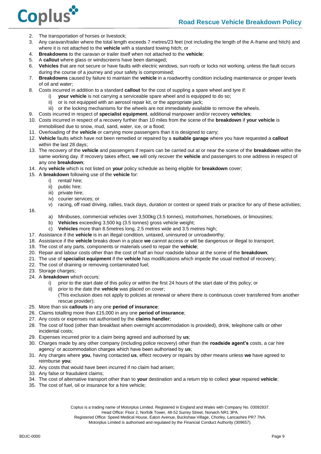

- 2. The transportation of horses or livestock;
- 3. Any caravan/trailer where the total length exceeds 7 metres/23 feet (not including the length of the A-frame and hitch) and where it is not attached to the **vehicle** with a standard towing hitch; or
- 4. **Breakdowns** to the caravan or trailer itself when not attached to the **vehicle**;
- 5. A **callout** where glass or windscreens have been damaged;
- 6. **Vehicles** that are not secure or have faults with electric windows, sun roofs or locks not working, unless the fault occurs during the course of a journey and your safety is compromised;
- 7. **Breakdowns** caused by failure to maintain the **vehicle** in a roadworthy condition including maintenance or proper levels of oil and water;
- 8. Costs incurred in addition to a standard **callout** for the cost of suppling a spare wheel and tyre if:
	- i) **your vehicle** is not carrying a serviceable spare wheel and is equipped to do so;
	- ii) or is not equipped with an aerosol repair kit, or the appropriate jack;
	- iii) or the locking mechanisms for the wheels are not immediately available to remove the wheels.
- 9. Costs incurred in respect of **specialist equipment**, additional manpower and/or recovery **vehicles**;
- 10. Costs incurred in respect of a recovery further than 10 miles from the scene of the **breakdown** if **your vehicle** is immobilised due to snow, mud, sand, water, ice, or a flood;
- 11. Overloading of the **vehicle** or carrying more passengers than it is designed to carry;
- 12. **Vehicle** faults which have not been remedied or repaired by a **suitable garage** where you have requested a **callout** within the last 28 days;
- 13. The recovery of the **vehicle** and passengers if repairs can be carried out at or near the scene of the **breakdown** within the same working day. If recovery takes effect, **we** will only recover the **vehicle** and passengers to one address in respect of any one **breakdown**;
- 14. Any **vehicle** which is not listed on **your** policy schedule as being eligible for **breakdown** cover;
- 15. A **breakdown** following use of the **vehicle** for:
	- i) rental/ hire;
	- ii) public hire;
	- iii) private hire;
	- iv) courier services; or
	- v) racing, off road driving, rallies, track days, duration or contest or speed trials or practice for any of these activities;
- 16.
- a) Minibuses, commercial vehicles over 3,500kg (3.5 tonnes), motorhomes, horseboxes, or limousines;
- b) **Vehicles** exceeding 3,500 kg (3.5 tonnes) gross vehicle weight;
- c) **Vehicles** more than 8.5metres long, 2.5 metres wide and 3.5 metres high;
- 17. Assistance if the **vehicle** is in an illegal condition, untaxed, uninsured or unroadworthy;
- 18. Assistance if the **vehicle** breaks down in a place **we** cannot access or will be dangerous or illegal to transport;
- 19. The cost of any parts, components or materials used to repair the **vehicle**;
- 20. Repair and labour costs other than the cost of half an hour roadside labour at the scene of the **breakdown**;
- 21. The use of **specialist equipment** if the **vehicle** has modifications which impede the usual method of recovery;
- 22. The cost of draining or removing contaminated fuel;
- 23. Storage charges;
- 24. A **breakdown** which occurs:
	- i) prior to the start date of this policy or within the first 24 hours of the start date of this policy; or
		- ii) prior to the date the **vehicle** was placed on cover; (This exclusion does not apply to policies at renewal or where there is continuous cover transferred from another rescue provider);
- 25. More than six **callouts** in any one **period of insurance**;
- 26. Claims totalling more than £15,000 in any one **period of insurance**;
- 27. Any costs or expenses not authorised by the **claims handler**;
- 28. The cost of food (other than breakfast when overnight accommodation is provided), drink, telephone calls or other incidental costs;
- 29. Expenses incurred prior to a claim being agreed and authorised by **us**;
- 30. Charges made by any other company (including police recovery) other than the **roadside agent's** costs, a car hire agency' or accommodation charges which have been authorised by **us**;
- 31. Any charges where **you**, having contacted **us**, effect recovery or repairs by other means unless **we** have agreed to reimburse **you**;
- 32. Any costs that would have been incurred if no claim had arisen;
- 33. Any false or fraudulent claims;
- 34. The cost of alternative transport other than to **your** destination and a return trip to collect **your** repaired **vehicle**;
- 35. The cost of fuel, oil or insurance for a hire vehicle;

Coplus is a trading name of Motorplus Limited. Registered in England and Wales with Company No. 03092837. Head Office: Floor 2, Norfolk Tower, 48-52 Surrey Street, Norwich NR1 3PA.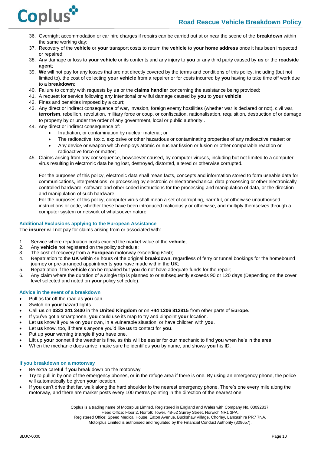

- 36. Overnight accommodation or car hire charges if repairs can be carried out at or near the scene of the **breakdown** within the same working day;
- 37. Recovery of the **vehicle** or **your** transport costs to return the **vehicle** to **your home address** once it has been inspected or repaired;
- 38. Any damage or loss to **your vehicle** or its contents and any injury to **you** or any third party caused by **us** or the **roadside agent**;
- 39. **We** will not pay for any losses that are not directly covered by the terms and conditions of this policy, including (but not limited to), the cost of collecting **your vehicle** from a repairer or for costs incurred by **you** having to take time off work due to a **breakdown**;
- 40. Failure to comply with requests by **us** or the **claims handler** concerning the assistance being provided;
- 41. A request for service following any intentional or wilful damage caused by **you** to **your vehicle**;
- 42. Fines and penalties imposed by a court;
- 43. Any direct or indirect consequence of war, invasion, foreign enemy hostilities (whether war is declared or not), civil war, **terrorism**, rebellion, revolution, military force or coup, or confiscation, nationalisation, requisition, destruction of or damage to property by or under the order of any government, local or public authority;.
- 44. Any direct or indirect consequence of:
	- Irradiation, or contamination by nuclear material; or
	- The radioactive, toxic, explosive or other hazardous or contaminating properties of any radioactive matter; or
	- Any device or weapon which employs atomic or nuclear fission or fusion or other comparable reaction or radioactive force or matter;
- 45. Claims arising from any consequence, howsoever caused, by computer viruses, including but not limited to a computer virus resulting in electronic data being lost, destroyed, distorted, altered or otherwise corrupted.

For the purposes of this policy, electronic data shall mean facts, concepts and information stored to form useable data for communications, interpretations, or processing by electronic or electromechanical data processing or other electronically controlled hardware, software and other coded instructions for the processing and manipulation of data, or the direction and manipulation of such hardware.

For the purposes of this policy, computer virus shall mean a set of corrupting, harmful, or otherwise unauthorised instructions or code, whether these have been introduced maliciously or otherwise, and multiply themselves through a computer system or network of whatsoever nature.

## **Additional Exclusions applying to the European Assistance**

The **insurer** will not pay for claims arising from or associated with:

- 1. Service where repatriation costs exceed the market value of the **vehicle**;
- 2. Any **vehicle** not registered on the policy schedule;
- 3. The cost of recovery from a **European** motorway exceeding £150;
- 4. Repatriation to the **UK** within 48 hours of the original **breakdown**, regardless of ferry or tunnel bookings for the homebound journey or pre-arranged appointments **you** have made within the **UK**;
- 5. Repatriation if the **vehicle** can be repaired but **you** do not have adequate funds for the repair;
- 6. Any claim where the duration of a single trip is planned to or subsequently exceeds 90 or 120 days (Depending on the cover level selected and noted on **your** policy schedule).

## **Advice in the event of a breakdown**

- Pull as far off the road as **you** can.
- Switch on **your** hazard lights.
- Call **us** on **0333 241 3400** in the **United Kingdom** or on **+44 1206 812815** from other parts of **Europe**.
- If you've got a smartphone, **you** could use its map to try and pinpoint **your** location.
- Let **us** know if you're on **your** own, in a vulnerable situation, or have children with **you**.
- Let **us** know, too, if there's anyone you'd like **us** to contact for **you**.
- Put up **your** warning triangle if **you** have one.
- Lift up **your** bonnet if the weather is fine, as this will be easier for **our** mechanic to find **you** when he's in the area.
- When the mechanic does arrive, make sure he identifies **you** by name, and shows **you** his ID.

## **If you breakdown on a motorway**

- Be extra careful if **you** break down on the motorway.
- Try to pull in by one of the emergency phones, or in the refuge area if there is one. By using an emergency phone, the police will automatically be given **your** location.
- If **you** can't drive that far, walk along the hard shoulder to the nearest emergency phone. There's one every mile along the motorway, and there are marker posts every 100 metres pointing in the direction of the nearest one.

Coplus is a trading name of Motorplus Limited. Registered in England and Wales with Company No. 03092837.

Head Office: Floor 2, Norfolk Tower, 48-52 Surrey Street, Norwich NR1 3PA.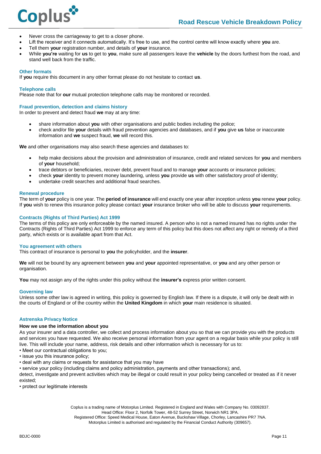

- Never cross the carriageway to get to a closer phone.
- Lift the receiver and it connects automatically. It's free to use, and the control centre will know exactly where **you** are.
- Tell them **your** registration number, and details of **your** insurance.
- While **you're** waiting for **us** to get to **you**, make sure all passengers leave the **vehicle** by the doors furthest from the road, and stand well back from the traffic.

### <span id="page-11-0"></span>**Other formats**

<span id="page-11-1"></span>If **you** require this document in any other format please do not hesitate to contact **us**.

#### **Telephone calls**

<span id="page-11-2"></span>Please note that for **our** mutual protection telephone calls may be monitored or recorded.

#### **Fraud prevention, detection and claims history**

In order to prevent and detect fraud **we** may at any time:

- share information about **you** with other organisations and public bodies including the police;
- check and/or file **your** details with fraud prevention agencies and databases, and if **you** give **us** false or inaccurate information and **we** suspect fraud, **we** will record this.

**We** and other organisations may also search these agencies and databases to:

- help make decisions about the provision and administration of insurance, credit and related services for **you** and members of **your** household;
- trace debtors or beneficiaries, recover debt, prevent fraud and to manage **your** accounts or insurance policies;
- check **your** identity to prevent money laundering, unless **you** provide **us** with other satisfactory proof of identity;
- undertake credit searches and additional fraud searches.

## <span id="page-11-3"></span>**Renewal procedure**

The term of **your** policy is one year. The **period of insurance** will end exactly one year after inception unless **you** renew **your** policy. If **you** wish to renew this insurance policy please contact **your** insurance broker who will be able to discuss **your** requirements.

#### <span id="page-11-4"></span>**Contracts (Rights of Third Parties) Act 1999**

The terms of this policy are only enforceable by the named insured. A person who is not a named insured has no rights under the Contracts (Rights of Third Parties) Act 1999 to enforce any term of this policy but this does not affect any right or remedy of a third party, which exists or is available apart from that Act.

#### <span id="page-11-5"></span>**You agreement with others**

This contract of insurance is personal to **you** the policyholder, and the **insurer**.

**We** will not be bound by any agreement between **you** and **your** appointed representative, or **you** and any other person or organisation.

<span id="page-11-6"></span>**You** may not assign any of the rights under this policy without the **insurer's** express prior written consent.

#### **Governing law**

Unless some other law is agreed in writing, this policy is governed by English law. If there is a dispute, it will only be dealt with in the courts of England or of the country within the **United Kingdom** in which **your** main residence is situated.

#### <span id="page-11-7"></span>**Astrenska Privacy Notice**

#### **How we use the information about you**

As your insurer and a data controller, we collect and process information about you so that we can provide you with the products and services you have requested. We also receive personal information from your agent on a regular basis while your policy is still live. This will include your name, address, risk details and other information which is necessary for us to:

• Meet our contractual obligations to you;

- issue you this insurance policy;
- deal with any claims or requests for assistance that you may have

• service your policy (including claims and policy administration, payments and other transactions); and,

detect, investigate and prevent activities which may be illegal or could result in your policy being cancelled or treated as if it never existed;

• protect our legitimate interests

Coplus is a trading name of Motorplus Limited. Registered in England and Wales with Company No. 03092837.

Head Office: Floor 2, Norfolk Tower, 48-52 Surrey Street, Norwich NR1 3PA.